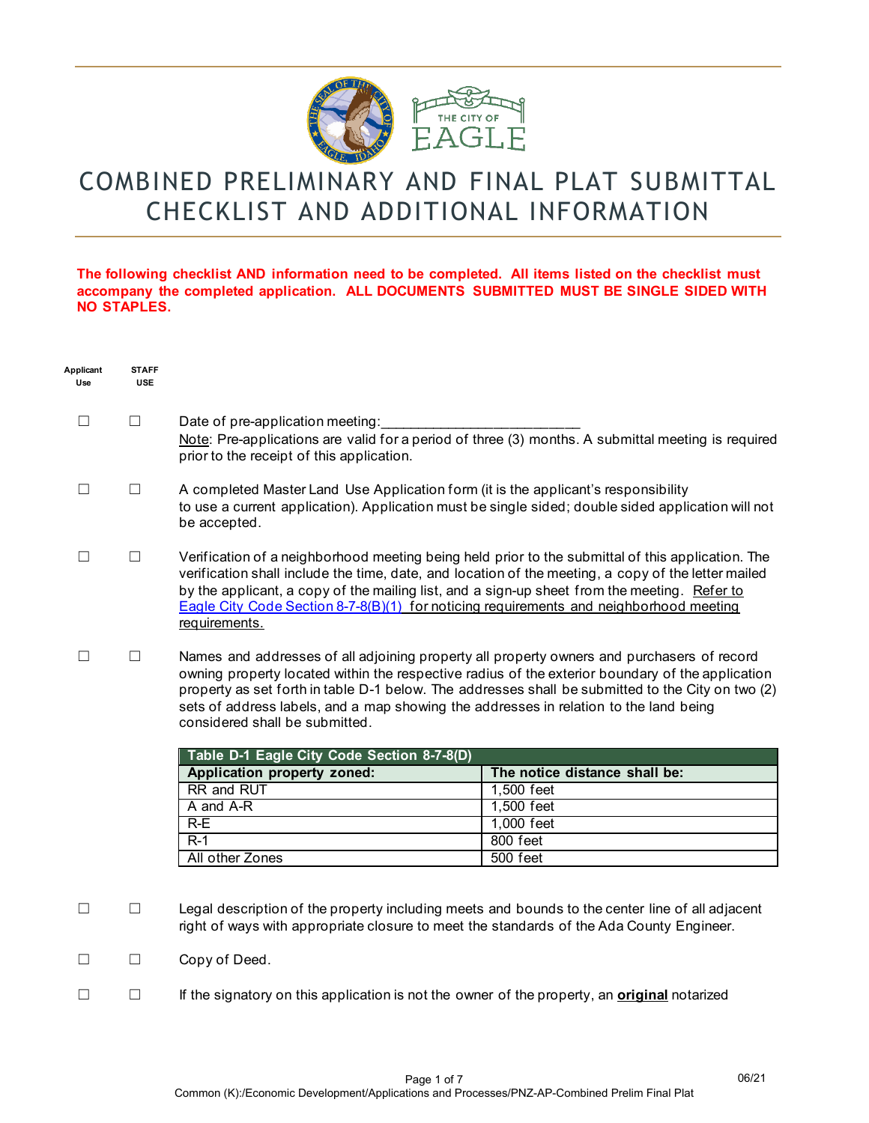

## COMBINED PRELIMINARY AND FINAL PLAT SUBMITTAL CHECKLIST AND ADDITIONAL INFORMATION

## **The following checklist AND information need to be completed. All items listed on the checklist must accompany the completed application. ALL DOCUMENTS SUBMITTED MUST BE SINGLE SIDED WITH NO STAPLES.**

| Applicant<br>Use | <b>STAFF</b><br><b>USE</b>                 |                                                                                                                                                                                                                                                                                                                                                                                                                                |                               |
|------------------|--------------------------------------------|--------------------------------------------------------------------------------------------------------------------------------------------------------------------------------------------------------------------------------------------------------------------------------------------------------------------------------------------------------------------------------------------------------------------------------|-------------------------------|
| $\Box$           | $\Box$                                     | Date of pre-application meeting:<br>Note: Pre-applications are valid for a period of three (3) months. A submittal meeting is required<br>prior to the receipt of this application.                                                                                                                                                                                                                                            |                               |
| $\Box$           | $\Box$                                     | A completed Master Land Use Application form (it is the applicant's responsibility<br>to use a current application). Application must be single sided; double sided application will not<br>be accepted.                                                                                                                                                                                                                       |                               |
| $\mathbb{R}^n$   | $\mathbb{R}^n$                             | Verification of a neighborhood meeting being held prior to the submittal of this application. The<br>verification shall include the time, date, and location of the meeting, a copy of the letter mailed<br>by the applicant, a copy of the mailing list, and a sign-up sheet from the meeting. Refer to<br>Eagle City Code Section 8-7-8(B)(1) for noticing requirements and neighborhood meeting<br>requirements.            |                               |
| $\Box$           | $\Box$                                     | Names and addresses of all adjoining property all property owners and purchasers of record<br>owning property located within the respective radius of the exterior boundary of the application<br>property as set forth in table D-1 below. The addresses shall be submitted to the City on two (2)<br>sets of address labels, and a map showing the addresses in relation to the land being<br>considered shall be submitted. |                               |
|                  | Table D-1 Eagle City Code Section 8-7-8(D) |                                                                                                                                                                                                                                                                                                                                                                                                                                |                               |
|                  |                                            | <b>Application property zoned:</b>                                                                                                                                                                                                                                                                                                                                                                                             | The notice distance shall be: |
|                  |                                            | <b>RR</b> and RUT                                                                                                                                                                                                                                                                                                                                                                                                              | 1,500 feet                    |
|                  |                                            | A and A-R                                                                                                                                                                                                                                                                                                                                                                                                                      | 1,500 feet                    |
|                  |                                            | $R-E$                                                                                                                                                                                                                                                                                                                                                                                                                          | 1,000 feet                    |
|                  |                                            | $R-1$                                                                                                                                                                                                                                                                                                                                                                                                                          | 800 feet                      |
|                  |                                            | All other Zones                                                                                                                                                                                                                                                                                                                                                                                                                | 500 feet                      |
| $\Box$           | $\Box$                                     | Legal description of the property including meets and bounds to the center line of all adjacent<br>right of ways with appropriate closure to meet the standards of the Ada County Engineer.                                                                                                                                                                                                                                    |                               |
| $\Box$           | $\Box$                                     | Copy of Deed.                                                                                                                                                                                                                                                                                                                                                                                                                  |                               |
| П                | П                                          | If the signatory on this application is not the owner of the property, an <b>original</b> notarized                                                                                                                                                                                                                                                                                                                            |                               |